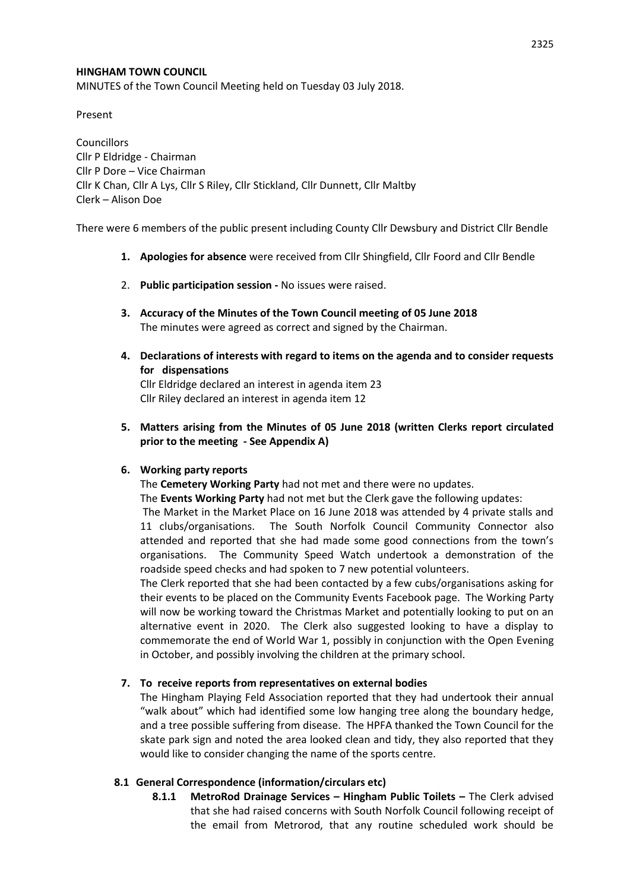### **HINGHAM TOWN COUNCIL**

MINUTES of the Town Council Meeting held on Tuesday 03 July 2018.

Present

**Councillors** Cllr P Eldridge - Chairman Cllr P Dore – Vice Chairman Cllr K Chan, Cllr A Lys, Cllr S Riley, Cllr Stickland, Cllr Dunnett, Cllr Maltby Clerk – Alison Doe

There were 6 members of the public present including County Cllr Dewsbury and District Cllr Bendle

- **1. Apologies for absence** were received from Cllr Shingfield, Cllr Foord and Cllr Bendle
- 2. **Public participation session -** No issues were raised.
- **3. Accuracy of the Minutes of the Town Council meeting of 05 June 2018** The minutes were agreed as correct and signed by the Chairman.
- **4. Declarations of interests with regard to items on the agenda and to consider requests for dispensations**

Cllr Eldridge declared an interest in agenda item 23 Cllr Riley declared an interest in agenda item 12

**5. Matters arising from the Minutes of 05 June 2018 (written Clerks report circulated prior to the meeting - See Appendix A)**

#### **6. Working party reports**

The **Cemetery Working Party** had not met and there were no updates.

The **Events Working Party** had not met but the Clerk gave the following updates:

The Market in the Market Place on 16 June 2018 was attended by 4 private stalls and 11 clubs/organisations. The South Norfolk Council Community Connector also attended and reported that she had made some good connections from the town's organisations. The Community Speed Watch undertook a demonstration of the roadside speed checks and had spoken to 7 new potential volunteers.

The Clerk reported that she had been contacted by a few cubs/organisations asking for their events to be placed on the Community Events Facebook page. The Working Party will now be working toward the Christmas Market and potentially looking to put on an alternative event in 2020. The Clerk also suggested looking to have a display to commemorate the end of World War 1, possibly in conjunction with the Open Evening in October, and possibly involving the children at the primary school.

### **7. To receive reports from representatives on external bodies**

The Hingham Playing Feld Association reported that they had undertook their annual "walk about" which had identified some low hanging tree along the boundary hedge, and a tree possible suffering from disease. The HPFA thanked the Town Council for the skate park sign and noted the area looked clean and tidy, they also reported that they would like to consider changing the name of the sports centre.

### **8.1 General Correspondence (information/circulars etc)**

**8.1.1 MetroRod Drainage Services – Hingham Public Toilets –** The Clerk advised that she had raised concerns with South Norfolk Council following receipt of the email from Metrorod, that any routine scheduled work should be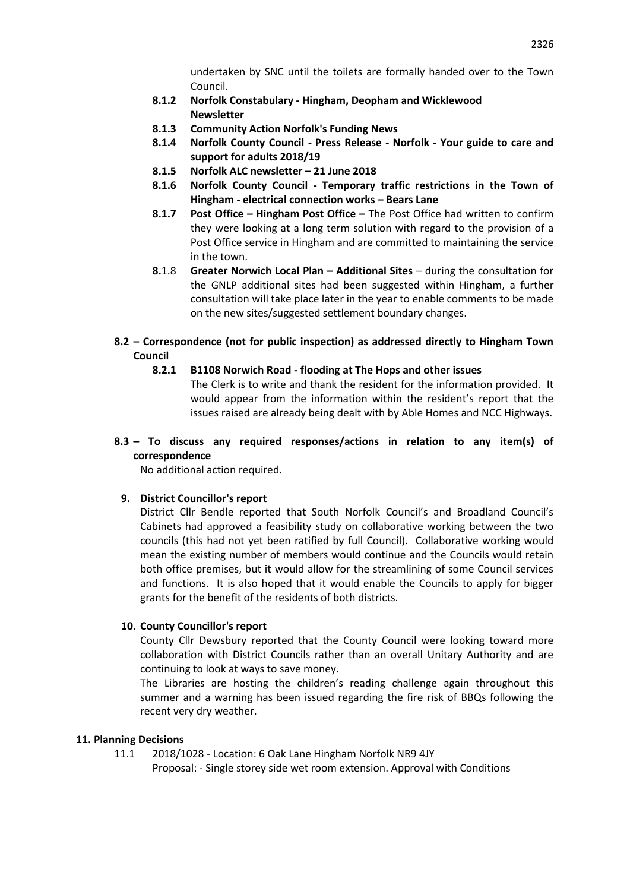undertaken by SNC until the toilets are formally handed over to the Town Council.

- **8.1.2 Norfolk Constabulary - Hingham, Deopham and Wicklewood Newsletter**
- **8.1.3 Community Action Norfolk's Funding News**
- **8.1.4 Norfolk County Council - Press Release - Norfolk - Your guide to care and support for adults 2018/19**
- **8.1.5 Norfolk ALC newsletter – 21 June 2018**
- **8.1.6 Norfolk County Council - Temporary traffic restrictions in the Town of Hingham - electrical connection works – Bears Lane**
- **8.1.7 Post Office – Hingham Post Office –** The Post Office had written to confirm they were looking at a long term solution with regard to the provision of a Post Office service in Hingham and are committed to maintaining the service in the town.
- **8.**1.8 **Greater Norwich Local Plan – Additional Sites** during the consultation for the GNLP additional sites had been suggested within Hingham, a further consultation will take place later in the year to enable comments to be made on the new sites/suggested settlement boundary changes.
- **8.2 – Correspondence (not for public inspection) as addressed directly to Hingham Town Council**
	- **8.2.1 B1108 Norwich Road - flooding at The Hops and other issues**

The Clerk is to write and thank the resident for the information provided. It would appear from the information within the resident's report that the issues raised are already being dealt with by Able Homes and NCC Highways.

### **8.3 – To discuss any required responses/actions in relation to any item(s) of correspondence**

No additional action required.

# **9. District Councillor's report**

District Cllr Bendle reported that South Norfolk Council's and Broadland Council's Cabinets had approved a feasibility study on collaborative working between the two councils (this had not yet been ratified by full Council). Collaborative working would mean the existing number of members would continue and the Councils would retain both office premises, but it would allow for the streamlining of some Council services and functions. It is also hoped that it would enable the Councils to apply for bigger grants for the benefit of the residents of both districts.

### **10. County Councillor's report**

County Cllr Dewsbury reported that the County Council were looking toward more collaboration with District Councils rather than an overall Unitary Authority and are continuing to look at ways to save money.

The Libraries are hosting the children's reading challenge again throughout this summer and a warning has been issued regarding the fire risk of BBQs following the recent very dry weather.

### **11. Planning Decisions**

11.1 2018/1028 - Location: 6 Oak Lane Hingham Norfolk NR9 4JY Proposal: - Single storey side wet room extension. Approval with Conditions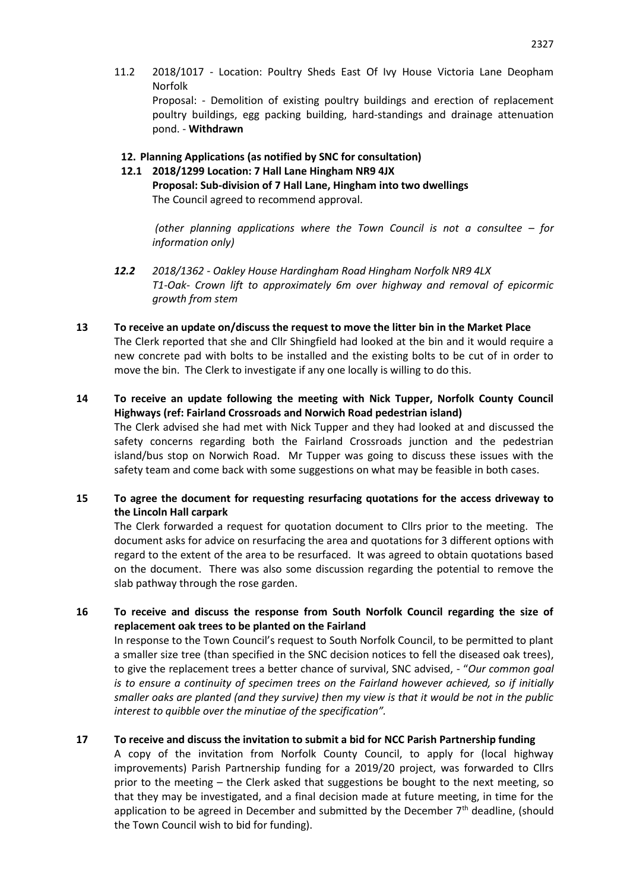11.2 2018/1017 - Location: Poultry Sheds East Of Ivy House Victoria Lane Deopham Norfolk

Proposal: - Demolition of existing poultry buildings and erection of replacement poultry buildings, egg packing building, hard-standings and drainage attenuation pond. - **Withdrawn**

### **12. Planning Applications (as notified by SNC for consultation)**

**12.1 2018/1299 Location: 7 Hall Lane Hingham NR9 4JX Proposal: Sub-division of 7 Hall Lane, Hingham into two dwellings** The Council agreed to recommend approval.

*(other planning applications where the Town Council is not a consultee – for information only)*

- *12.2 2018/1362 - Oakley House Hardingham Road Hingham Norfolk NR9 4LX T1-Oak- Crown lift to approximately 6m over highway and removal of epicormic growth from stem*
- **13 To receive an update on/discuss the request to move the litter bin in the Market Place** The Clerk reported that she and Cllr Shingfield had looked at the bin and it would require a new concrete pad with bolts to be installed and the existing bolts to be cut of in order to move the bin. The Clerk to investigate if any one locally is willing to do this.
- **14 To receive an update following the meeting with Nick Tupper, Norfolk County Council Highways (ref: Fairland Crossroads and Norwich Road pedestrian island)**

The Clerk advised she had met with Nick Tupper and they had looked at and discussed the safety concerns regarding both the Fairland Crossroads junction and the pedestrian island/bus stop on Norwich Road. Mr Tupper was going to discuss these issues with the safety team and come back with some suggestions on what may be feasible in both cases.

# **15 To agree the document for requesting resurfacing quotations for the access driveway to the Lincoln Hall carpark**

The Clerk forwarded a request for quotation document to Cllrs prior to the meeting. The document asks for advice on resurfacing the area and quotations for 3 different options with regard to the extent of the area to be resurfaced. It was agreed to obtain quotations based on the document. There was also some discussion regarding the potential to remove the slab pathway through the rose garden.

# **16 To receive and discuss the response from South Norfolk Council regarding the size of replacement oak trees to be planted on the Fairland**

In response to the Town Council's request to South Norfolk Council, to be permitted to plant a smaller size tree (than specified in the SNC decision notices to fell the diseased oak trees), to give the replacement trees a better chance of survival, SNC advised, - "*Our common goal is to ensure a continuity of specimen trees on the Fairland however achieved, so if initially smaller oaks are planted (and they survive) then my view is that it would be not in the public interest to quibble over the minutiae of the specification".*

# **17 To receive and discuss the invitation to submit a bid for NCC Parish Partnership funding**

A copy of the invitation from Norfolk County Council, to apply for (local highway improvements) Parish Partnership funding for a 2019/20 project, was forwarded to Cllrs prior to the meeting – the Clerk asked that suggestions be bought to the next meeting, so that they may be investigated, and a final decision made at future meeting, in time for the application to be agreed in December and submitted by the December  $7<sup>th</sup>$  deadline, (should the Town Council wish to bid for funding).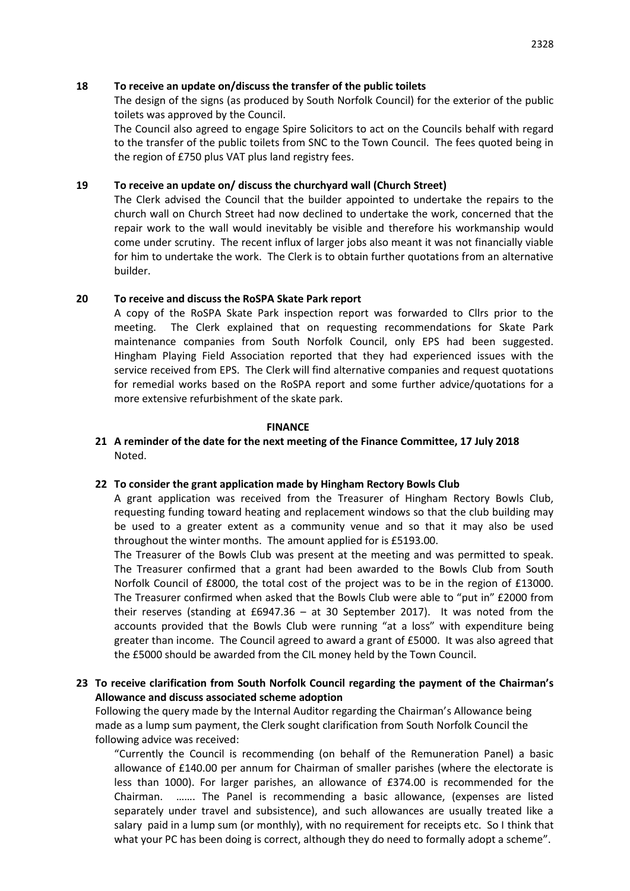#### **18 To receive an update on/discuss the transfer of the public toilets**

The design of the signs (as produced by South Norfolk Council) for the exterior of the public toilets was approved by the Council.

The Council also agreed to engage Spire Solicitors to act on the Councils behalf with regard to the transfer of the public toilets from SNC to the Town Council. The fees quoted being in the region of £750 plus VAT plus land registry fees.

### **19 To receive an update on/ discuss the churchyard wall (Church Street)**

The Clerk advised the Council that the builder appointed to undertake the repairs to the church wall on Church Street had now declined to undertake the work, concerned that the repair work to the wall would inevitably be visible and therefore his workmanship would come under scrutiny. The recent influx of larger jobs also meant it was not financially viable for him to undertake the work. The Clerk is to obtain further quotations from an alternative builder.

### **20 To receive and discuss the RoSPA Skate Park report**

A copy of the RoSPA Skate Park inspection report was forwarded to Cllrs prior to the meeting. The Clerk explained that on requesting recommendations for Skate Park maintenance companies from South Norfolk Council, only EPS had been suggested. Hingham Playing Field Association reported that they had experienced issues with the service received from EPS. The Clerk will find alternative companies and request quotations for remedial works based on the RoSPA report and some further advice/quotations for a more extensive refurbishment of the skate park.

#### **FINANCE**

# **21 A reminder of the date for the next meeting of the Finance Committee, 17 July 2018** Noted.

### **22 To consider the grant application made by Hingham Rectory Bowls Club**

A grant application was received from the Treasurer of Hingham Rectory Bowls Club, requesting funding toward heating and replacement windows so that the club building may be used to a greater extent as a community venue and so that it may also be used throughout the winter months. The amount applied for is £5193.00.

The Treasurer of the Bowls Club was present at the meeting and was permitted to speak. The Treasurer confirmed that a grant had been awarded to the Bowls Club from South Norfolk Council of £8000, the total cost of the project was to be in the region of £13000. The Treasurer confirmed when asked that the Bowls Club were able to "put in" £2000 from their reserves (standing at £6947.36 – at 30 September 2017). It was noted from the accounts provided that the Bowls Club were running "at a loss" with expenditure being greater than income. The Council agreed to award a grant of £5000. It was also agreed that the £5000 should be awarded from the CIL money held by the Town Council.

# **23 To receive clarification from South Norfolk Council regarding the payment of the Chairman's Allowance and discuss associated scheme adoption**

Following the query made by the Internal Auditor regarding the Chairman's Allowance being made as a lump sum payment, the Clerk sought clarification from South Norfolk Council the following advice was received:

"Currently the Council is recommending (on behalf of the Remuneration Panel) a basic allowance of £140.00 per annum for Chairman of smaller parishes (where the electorate is less than 1000). For larger parishes, an allowance of £374.00 is recommended for the Chairman. ……. The Panel is recommending a basic allowance, (expenses are listed separately under travel and subsistence), and such allowances are usually treated like a salary paid in a lump sum (or monthly), with no requirement for receipts etc. So I think that what your PC has been doing is correct, although they do need to formally adopt a scheme".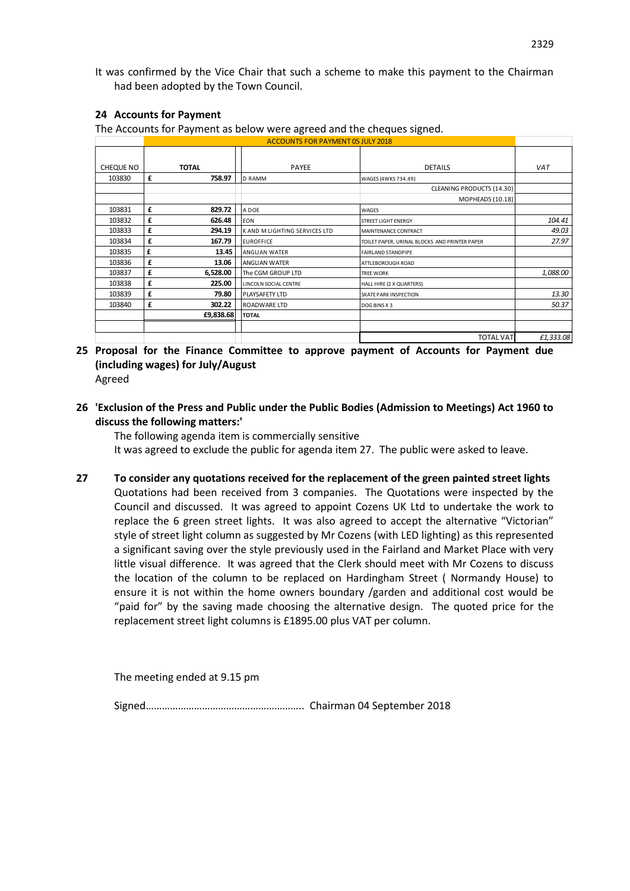It was confirmed by the Vice Chair that such a scheme to make this payment to the Chairman had been adopted by the Town Council.

### **24 Accounts for Payment**

The Accounts for Payment as below were agreed and the cheques signed.

|           |   |              | <b>ACCOUNTS FOR PAYMENT 05 JULY 2018</b> |                                               |            |
|-----------|---|--------------|------------------------------------------|-----------------------------------------------|------------|
| CHEQUE NO |   | <b>TOTAL</b> | PAYEE                                    | <b>DETAILS</b>                                | <b>VAT</b> |
| 103830    | £ | 758.97       | <b>D RAMM</b>                            | WAGES (4WKS 734.49)                           |            |
|           |   |              |                                          | CLEANING PRODUCTS (14.30)                     |            |
|           |   |              |                                          | MOPHEADS (10.18)                              |            |
| 103831    | £ | 829.72       | A DOE                                    | <b>WAGES</b>                                  |            |
| 103832    | £ | 626.48       | <b>EON</b>                               | <b>STREET LIGHT ENERGY</b>                    | 104.41     |
| 103833    | £ | 294.19       | K AND M LIGHTING SERVICES LTD            | MAINTENANCE CONTRACT                          | 49.03      |
| 103834    | £ | 167.79       | <b>EUROFFICE</b>                         | TOILET PAPER, URINAL BLOCKS AND PRINTER PAPER | 27.97      |
| 103835    | £ | 13.45        | ANGLIAN WATER                            | <b>FAIRLAND STANDPIPE</b>                     |            |
| 103836    | £ | 13.06        | <b>ANGLIAN WATER</b>                     | ATTLEBOROUGH ROAD                             |            |
| 103837    | £ | 6,528.00     | The CGM GROUP LTD                        | <b>TREE WORK</b>                              | 1,088.00   |
| 103838    | £ | 225.00       | LINCOLN SOCIAL CENTRE                    | HALL HIRE (2 X QUARTERS)                      |            |
| 103839    | £ | 79.80        | PLAYSAFETY LTD                           | <b>SKATE PARK INSPECTION</b>                  | 13.30      |
| 103840    | £ | 302.22       | ROADWARE LTD                             | DOG BINS X 3                                  | 50.37      |
|           |   | £9,838.68    | <b>TOTAL</b>                             |                                               |            |
|           |   |              |                                          | <b>TOTAL VAT</b>                              | £1,333.08  |

- **25 Proposal for the Finance Committee to approve payment of Accounts for Payment due (including wages) for July/August**
	- Agreed
- **26 'Exclusion of the Press and Public under the Public Bodies (Admission to Meetings) Act 1960 to discuss the following matters:'**

The following agenda item is commercially sensitive It was agreed to exclude the public for agenda item 27. The public were asked to leave.

**27 To consider any quotations received for the replacement of the green painted street lights** Quotations had been received from 3 companies. The Quotations were inspected by the Council and discussed. It was agreed to appoint Cozens UK Ltd to undertake the work to replace the 6 green street lights. It was also agreed to accept the alternative "Victorian" style of street light column as suggested by Mr Cozens (with LED lighting) as this represented a significant saving over the style previously used in the Fairland and Market Place with very little visual difference. It was agreed that the Clerk should meet with Mr Cozens to discuss the location of the column to be replaced on Hardingham Street ( Normandy House) to ensure it is not within the home owners boundary /garden and additional cost would be "paid for" by the saving made choosing the alternative design. The quoted price for the replacement street light columns is £1895.00 plus VAT per column.

The meeting ended at 9.15 pm

Signed………………………………………………….. Chairman 04 September 2018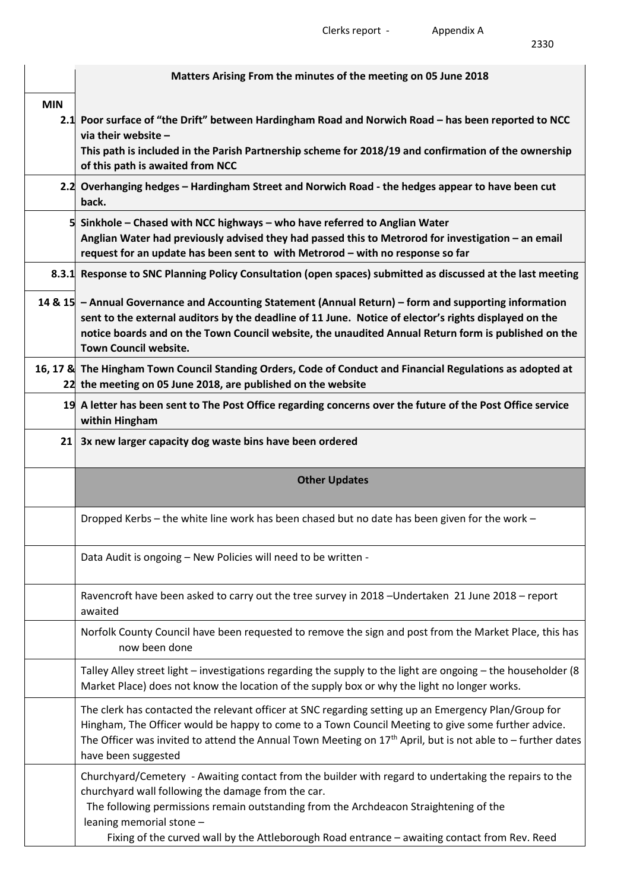2330

|            | Matters Arising From the minutes of the meeting on 05 June 2018                                                                                                                                                                                                                                                                                        |  |  |  |  |  |
|------------|--------------------------------------------------------------------------------------------------------------------------------------------------------------------------------------------------------------------------------------------------------------------------------------------------------------------------------------------------------|--|--|--|--|--|
| <b>MIN</b> |                                                                                                                                                                                                                                                                                                                                                        |  |  |  |  |  |
|            | 2.1 Poor surface of "the Drift" between Hardingham Road and Norwich Road – has been reported to NCC<br>via their website $-$<br>This path is included in the Parish Partnership scheme for 2018/19 and confirmation of the ownership<br>of this path is awaited from NCC                                                                               |  |  |  |  |  |
|            | 2.2 Overhanging hedges – Hardingham Street and Norwich Road - the hedges appear to have been cut<br>back.                                                                                                                                                                                                                                              |  |  |  |  |  |
|            | 5 Sinkhole – Chased with NCC highways – who have referred to Anglian Water<br>Anglian Water had previously advised they had passed this to Metrorod for investigation - an email<br>request for an update has been sent to with Metrorod - with no response so far                                                                                     |  |  |  |  |  |
|            | 8.3.1 Response to SNC Planning Policy Consultation (open spaces) submitted as discussed at the last meeting                                                                                                                                                                                                                                            |  |  |  |  |  |
|            | 14 & 15 - Annual Governance and Accounting Statement (Annual Return) - form and supporting information<br>sent to the external auditors by the deadline of 11 June. Notice of elector's rights displayed on the<br>notice boards and on the Town Council website, the unaudited Annual Return form is published on the<br><b>Town Council website.</b> |  |  |  |  |  |
|            | 16, 17 & The Hingham Town Council Standing Orders, Code of Conduct and Financial Regulations as adopted at<br>22 the meeting on 05 June 2018, are published on the website                                                                                                                                                                             |  |  |  |  |  |
|            | 19 A letter has been sent to The Post Office regarding concerns over the future of the Post Office service<br>within Hingham                                                                                                                                                                                                                           |  |  |  |  |  |
| 21         | 3x new larger capacity dog waste bins have been ordered                                                                                                                                                                                                                                                                                                |  |  |  |  |  |
|            |                                                                                                                                                                                                                                                                                                                                                        |  |  |  |  |  |
|            | <b>Other Updates</b>                                                                                                                                                                                                                                                                                                                                   |  |  |  |  |  |
|            | Dropped Kerbs - the white line work has been chased but no date has been given for the work -                                                                                                                                                                                                                                                          |  |  |  |  |  |
|            | Data Audit is ongoing - New Policies will need to be written -                                                                                                                                                                                                                                                                                         |  |  |  |  |  |
|            | Ravencroft have been asked to carry out the tree survey in 2018 - Undertaken 21 June 2018 - report<br>awaited                                                                                                                                                                                                                                          |  |  |  |  |  |
|            | Norfolk County Council have been requested to remove the sign and post from the Market Place, this has<br>now been done                                                                                                                                                                                                                                |  |  |  |  |  |
|            | Talley Alley street light - investigations regarding the supply to the light are ongoing - the householder (8<br>Market Place) does not know the location of the supply box or why the light no longer works.                                                                                                                                          |  |  |  |  |  |
|            | The clerk has contacted the relevant officer at SNC regarding setting up an Emergency Plan/Group for<br>Hingham, The Officer would be happy to come to a Town Council Meeting to give some further advice.<br>The Officer was invited to attend the Annual Town Meeting on $17th$ April, but is not able to – further dates<br>have been suggested     |  |  |  |  |  |